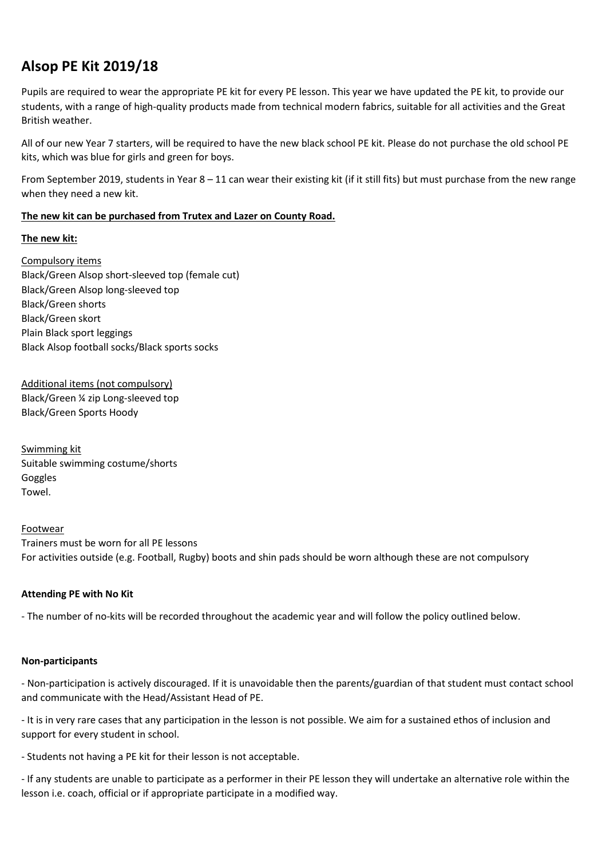# **Alsop PE Kit 2019/18**

Pupils are required to wear the appropriate PE kit for every PE lesson. This year we have updated the PE kit, to provide our students, with a range of high-quality products made from technical modern fabrics, suitable for all activities and the Great British weather.

All of our new Year 7 starters, will be required to have the new black school PE kit. Please do not purchase the old school PE kits, which was blue for girls and green for boys.

From September 2019, students in Year 8 – 11 can wear their existing kit (if it still fits) but must purchase from the new range when they need a new kit.

## **The new kit can be purchased from Trutex and Lazer on County Road.**

## **The new kit:**

Compulsory items Black/Green Alsop short-sleeved top (female cut) Black/Green Alsop long-sleeved top Black/Green shorts Black/Green skort Plain Black sport leggings Black Alsop football socks/Black sports socks

Additional items (not compulsory) Black/Green ¼ zip Long-sleeved top Black/Green Sports Hoody

Swimming kit Suitable swimming costume/shorts Goggles Towel.

#### Footwear

Trainers must be worn for all PE lessons For activities outside (e.g. Football, Rugby) boots and shin pads should be worn although these are not compulsory

# **Attending PE with No Kit**

- The number of no-kits will be recorded throughout the academic year and will follow the policy outlined below.

#### **Non-participants**

- Non-participation is actively discouraged. If it is unavoidable then the parents/guardian of that student must contact school and communicate with the Head/Assistant Head of PE.

- It is in very rare cases that any participation in the lesson is not possible. We aim for a sustained ethos of inclusion and support for every student in school.

- Students not having a PE kit for their lesson is not acceptable.

- If any students are unable to participate as a performer in their PE lesson they will undertake an alternative role within the lesson i.e. coach, official or if appropriate participate in a modified way.